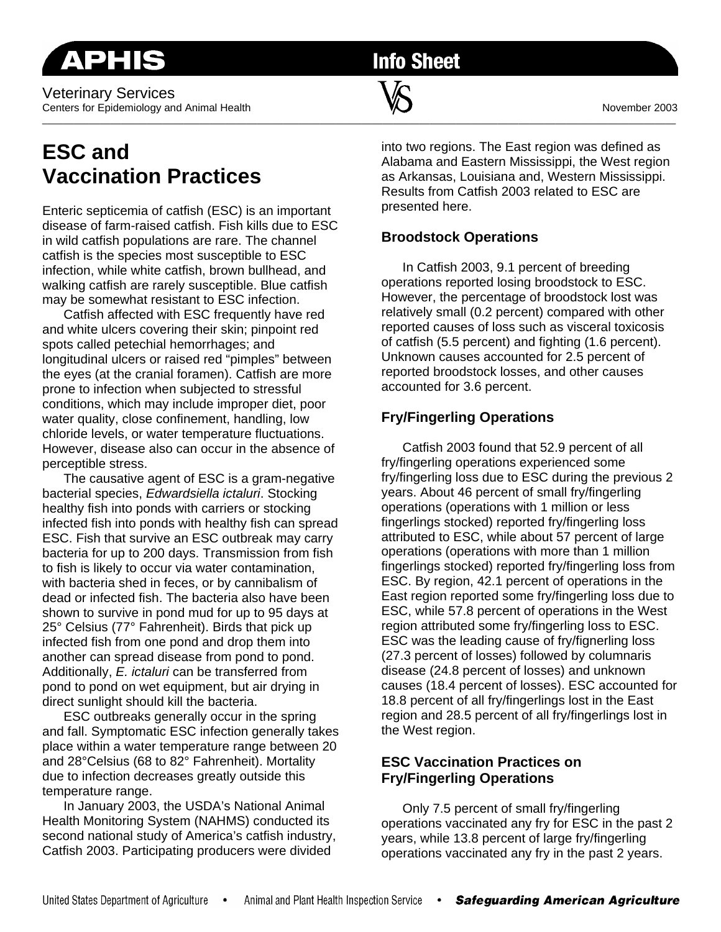Veterinary Services Centers for Epidemiology and Animal Health November 2003

# **ESC and Vaccination Practices**

Enteric septicemia of catfish (ESC) is an important disease of farm-raised catfish. Fish kills due to ESC in wild catfish populations are rare. The channel catfish is the species most susceptible to ESC infection, while white catfish, brown bullhead, and walking catfish are rarely susceptible. Blue catfish may be somewhat resistant to ESC infection.

 Catfish affected with ESC frequently have red and white ulcers covering their skin; pinpoint red spots called petechial hemorrhages; and longitudinal ulcers or raised red "pimples" between the eyes (at the cranial foramen). Catfish are more prone to infection when subjected to stressful conditions, which may include improper diet, poor water quality, close confinement, handling, low chloride levels, or water temperature fluctuations. However, disease also can occur in the absence of perceptible stress.

 The causative agent of ESC is a gram-negative bacterial species, *Edwardsiella ictaluri*. Stocking healthy fish into ponds with carriers or stocking infected fish into ponds with healthy fish can spread ESC. Fish that survive an ESC outbreak may carry bacteria for up to 200 days. Transmission from fish to fish is likely to occur via water contamination, with bacteria shed in feces, or by cannibalism of dead or infected fish. The bacteria also have been shown to survive in pond mud for up to 95 days at 25° Celsius (77° Fahrenheit). Birds that pick up infected fish from one pond and drop them into another can spread disease from pond to pond. Additionally, *E. ictaluri* can be transferred from pond to pond on wet equipment, but air drying in direct sunlight should kill the bacteria.

 ESC outbreaks generally occur in the spring and fall. Symptomatic ESC infection generally takes place within a water temperature range between 20 and 28°Celsius (68 to 82° Fahrenheit). Mortality due to infection decreases greatly outside this temperature range.

 In January 2003, the USDA's National Animal Health Monitoring System (NAHMS) conducted its second national study of America's catfish industry, Catfish 2003. Participating producers were divided

into two regions. The East region was defined as Alabama and Eastern Mississippi, the West region as Arkansas, Louisiana and, Western Mississippi. Results from Catfish 2003 related to ESC are presented here.

## **Broodstock Operations**

 In Catfish 2003, 9.1 percent of breeding operations reported losing broodstock to ESC. However, the percentage of broodstock lost was relatively small (0.2 percent) compared with other reported causes of loss such as visceral toxicosis of catfish (5.5 percent) and fighting (1.6 percent). Unknown causes accounted for 2.5 percent of reported broodstock losses, and other causes accounted for 3.6 percent.

## **Fry/Fingerling Operations**

 Catfish 2003 found that 52.9 percent of all fry/fingerling operations experienced some fry/fingerling loss due to ESC during the previous 2 years. About 46 percent of small fry/fingerling operations (operations with 1 million or less fingerlings stocked) reported fry/fingerling loss attributed to ESC, while about 57 percent of large operations (operations with more than 1 million fingerlings stocked) reported fry/fingerling loss from ESC. By region, 42.1 percent of operations in the East region reported some fry/fingerling loss due to ESC, while 57.8 percent of operations in the West region attributed some fry/fingerling loss to ESC. ESC was the leading cause of fry/fignerling loss (27.3 percent of losses) followed by columnaris disease (24.8 percent of losses) and unknown causes (18.4 percent of losses). ESC accounted for 18.8 percent of all fry/fingerlings lost in the East region and 28.5 percent of all fry/fingerlings lost in the West region.

### **ESC Vaccination Practices on Fry/Fingerling Operations**

 Only 7.5 percent of small fry/fingerling operations vaccinated any fry for ESC in the past 2 years, while 13.8 percent of large fry/fingerling operations vaccinated any fry in the past 2 years.

# \_\_\_\_\_\_\_\_\_\_\_\_\_\_\_\_\_\_\_\_\_\_\_\_\_\_\_\_\_\_\_\_\_\_\_\_\_\_\_\_\_\_\_\_\_\_\_\_\_\_\_\_\_\_\_\_\_\_\_\_\_\_\_\_\_\_\_\_\_\_\_\_\_\_\_\_\_\_\_\_\_\_\_\_\_\_\_\_\_\_\_\_\_\_\_\_\_\_\_\_\_\_\_\_\_\_\_\_\_\_\_\_\_\_\_\_\_\_\_\_\_

**Info Sheet**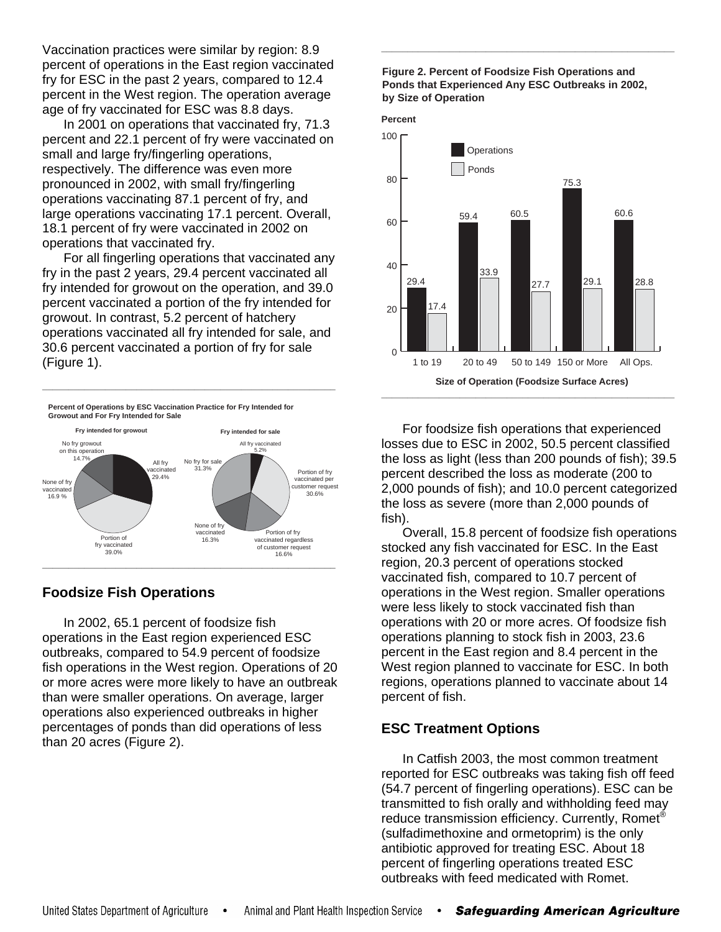Vaccination practices were similar by region: 8.9 percent of operations in the East region vaccinated fry for ESC in the past 2 years, compared to 12.4 percent in the West region. The operation average age of fry vaccinated for ESC was 8.8 days.

 In 2001 on operations that vaccinated fry, 71.3 percent and 22.1 percent of fry were vaccinated on small and large fry/fingerling operations, respectively. The difference was even more pronounced in 2002, with small fry/fingerling operations vaccinating 87.1 percent of fry, and large operations vaccinating 17.1 percent. Overall, 18.1 percent of fry were vaccinated in 2002 on operations that vaccinated fry.

 For all fingerling operations that vaccinated any fry in the past 2 years, 29.4 percent vaccinated all fry intended for growout on the operation, and 39.0 percent vaccinated a portion of the fry intended for growout. In contrast, 5.2 percent of hatchery operations vaccinated all fry intended for sale, and 30.6 percent vaccinated a portion of fry for sale (Figure 1).



### **Foodsize Fish Operations**

 In 2002, 65.1 percent of foodsize fish operations in the East region experienced ESC outbreaks, compared to 54.9 percent of foodsize fish operations in the West region. Operations of 20 or more acres were more likely to have an outbreak than were smaller operations. On average, larger operations also experienced outbreaks in higher percentages of ponds than did operations of less than 20 acres (Figure 2).

#### **Figure 2. Percent of Foodsize Fish Operations and Ponds that Experienced Any ESC Outbreaks in 2002, by Size of Operation**

**\_\_\_\_\_\_\_\_\_\_\_\_\_\_\_\_\_\_\_\_\_\_\_\_\_\_\_\_\_\_\_\_\_\_\_\_\_\_\_\_\_\_\_\_\_\_\_\_\_\_\_\_\_\_\_\_** 





 For foodsize fish operations that experienced losses due to ESC in 2002, 50.5 percent classified the loss as light (less than 200 pounds of fish); 39.5 percent described the loss as moderate (200 to 2,000 pounds of fish); and 10.0 percent categorized the loss as severe (more than 2,000 pounds of fish).

 Overall, 15.8 percent of foodsize fish operations stocked any fish vaccinated for ESC. In the East region, 20.3 percent of operations stocked vaccinated fish, compared to 10.7 percent of operations in the West region. Smaller operations were less likely to stock vaccinated fish than operations with 20 or more acres. Of foodsize fish operations planning to stock fish in 2003, 23.6 percent in the East region and 8.4 percent in the West region planned to vaccinate for ESC. In both regions, operations planned to vaccinate about 14 percent of fish.

### **ESC Treatment Options**

 In Catfish 2003, the most common treatment reported for ESC outbreaks was taking fish off feed (54.7 percent of fingerling operations). ESC can be transmitted to fish orally and withholding feed may reduce transmission efficiency. Currently, Romet<sup>®</sup> (sulfadimethoxine and ormetoprim) is the only antibiotic approved for treating ESC. About 18 percent of fingerling operations treated ESC outbreaks with feed medicated with Romet.